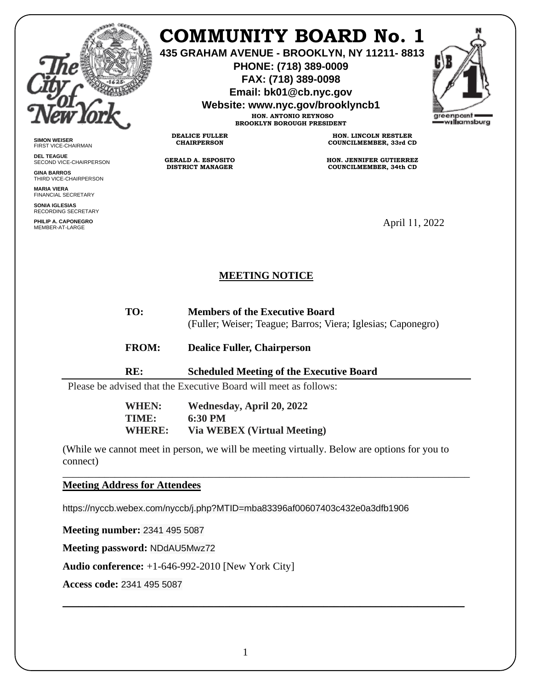

**SIMON WEISER** FIRST VICE-CHAIRMAN **DEL TEAGUE**

**GINA BARROS** THIRD VICE-CHAIRPERSON

**MARIA VIERA** FINANCIAL SECRETARY **SONIA IGLESIAS** RECORDING SECRETARY **PHILIP A. CAPONEGRO**

SECOND VICE-CHAIRPERSON

## **COMMUNITY BOARD No. 1**

**435 GRAHAM AVENUE - BROOKLYN, NY 11211- 8813**

**PHONE: (718) 389-0009 FAX: (718) 389-0098**

**Email: bk01@cb.nyc.gov**

**Website: www.nyc.gov/brooklyncb1**

**HON. ANTONIO REYNOSO BROOKLYN BOROUGH PRESIDENT**

**DEALICE FULLER CHAIRPERSON**

**GERALD A. ESPOSITO DISTRICT MANAGER**

**HON. LINCOLN RESTLER COUNCILMEMBER, 33rd CD**

**HON. JENNIFER GUTIERREZ COUNCILMEMBER, 34th CD**

April 11, 2022

## **MEETING NOTICE**

**TO: Members of the Executive Board** 

(Fuller; Weiser; Teague; Barros; Viera; Iglesias; Caponegro)

- **FROM: Dealice Fuller, Chairperson**
- **RE: Scheduled Meeting of the Executive Board**

Please be advised that the Executive Board will meet as follows:

**WHEN: Wednesday, April 20, 2022 TIME: 6:30 PM WHERE: Via WEBEX (Virtual Meeting)**

(While we cannot meet in person, we will be meeting virtually. Below are options for you to connect)

\_\_\_\_\_\_\_\_\_\_\_\_\_\_\_\_\_\_\_\_\_\_\_\_\_\_\_\_\_\_\_\_\_\_\_\_\_\_\_\_\_\_\_\_\_\_\_\_\_\_\_\_\_\_\_\_\_\_\_\_\_\_\_\_\_\_\_\_\_\_\_\_\_\_\_\_\_\_

\_\_\_\_\_\_\_\_\_\_\_\_\_\_\_\_\_\_\_\_\_\_\_\_\_\_\_\_\_\_\_\_\_\_\_\_\_\_\_\_\_\_\_\_\_\_\_\_\_\_\_\_\_\_\_\_\_\_\_\_\_\_\_\_\_\_\_\_\_\_\_\_\_\_\_\_\_

**Meeting Address for Attendees** 

https://nyccb.webex.com/nyccb/j.php?MTID=mba83396af00607403c432e0a3dfb1906

**Meeting number:** 2341 495 5087

**Meeting password:** NDdAU5Mwz72

**Audio conference:** +1-646-992-2010 [New York City]

**Access code:** 2341 495 5087